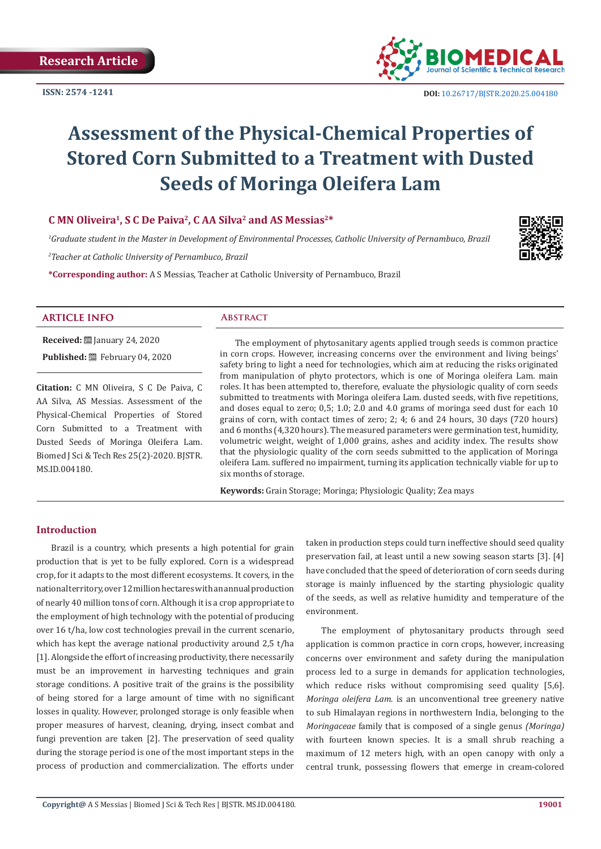**ISSN: 2574 -1241**



 **DOI:** [10.26717/BJSTR.2020.25.0041](http://dx.doi.org/10.26717/BJSTR.2020.25.004180)80

# **Assessment of the Physical-Chemical Properties of Stored Corn Submitted to a Treatment with Dusted Seeds of Moringa Oleifera Lam**

# **C MN Oliveira1, S C De Paiva2, C AA Silva2 and AS Messias2\***

*1 Graduate student in the Master in Development of Environmental Processes, Catholic University of Pernambuco, Brazil*

*2 Teacher at Catholic University of Pernambuco, Brazil*

**\*Corresponding author:** A S Messias, Teacher at Catholic University of Pernambuco, Brazil



# **ARTICLE INFO Abstract**

**Received:** ■ January 24, 2020 Published: **■**February 04, 2020

**Citation:** C MN Oliveira, S C De Paiva, C AA Silva, AS Messias. Assessment of the Physical-Chemical Properties of Stored Corn Submitted to a Treatment with Dusted Seeds of Moringa Oleifera Lam. Biomed J Sci & Tech Res 25(2)-2020. BJSTR. MS.ID.004180.

The employment of phytosanitary agents applied trough seeds is common practice in corn crops. However, increasing concerns over the environment and living beings' safety bring to light a need for technologies, which aim at reducing the risks originated from manipulation of phyto protectors, which is one of Moringa oleifera Lam. main roles. It has been attempted to, therefore, evaluate the physiologic quality of corn seeds submitted to treatments with Moringa oleifera Lam. dusted seeds, with five repetitions, and doses equal to zero; 0,5; 1.0; 2.0 and 4.0 grams of moringa seed dust for each 10 grains of corn, with contact times of zero; 2; 4; 6 and 24 hours, 30 days (720 hours) and 6 months (4,320 hours). The measured parameters were germination test, humidity, volumetric weight, weight of 1,000 grains, ashes and acidity index. The results show that the physiologic quality of the corn seeds submitted to the application of Moringa oleifera Lam. suffered no impairment, turning its application technically viable for up to six months of storage.

**Keywords:** Grain Storage; Moringa; Physiologic Quality; Zea mays

# **Introduction**

Brazil is a country, which presents a high potential for grain production that is yet to be fully explored. Corn is a widespread crop, for it adapts to the most different ecosystems. It covers, in the national territory, over 12 million hectares with an annual production of nearly 40 million tons of corn. Although it is a crop appropriate to the employment of high technology with the potential of producing over 16 t/ha, low cost technologies prevail in the current scenario, which has kept the average national productivity around 2,5 t/ha [1]. Alongside the effort of increasing productivity, there necessarily must be an improvement in harvesting techniques and grain storage conditions. A positive trait of the grains is the possibility of being stored for a large amount of time with no significant losses in quality. However, prolonged storage is only feasible when proper measures of harvest, cleaning, drying, insect combat and fungi prevention are taken [2]. The preservation of seed quality during the storage period is one of the most important steps in the process of production and commercialization. The efforts under

taken in production steps could turn ineffective should seed quality preservation fail, at least until a new sowing season starts [3]. [4] have concluded that the speed of deterioration of corn seeds during storage is mainly influenced by the starting physiologic quality of the seeds, as well as relative humidity and temperature of the environment.

The employment of phytosanitary products through seed application is common practice in corn crops, however, increasing concerns over environment and safety during the manipulation process led to a surge in demands for application technologies, which reduce risks without compromising seed quality [5,6]. *Moringa oleifera Lam*. is an unconventional tree greenery native to sub Himalayan regions in northwestern India, belonging to the *Moringaceae* family that is composed of a single genus *(Moringa)* with fourteen known species. It is a small shrub reaching a maximum of 12 meters high, with an open canopy with only a central trunk, possessing flowers that emerge in cream-colored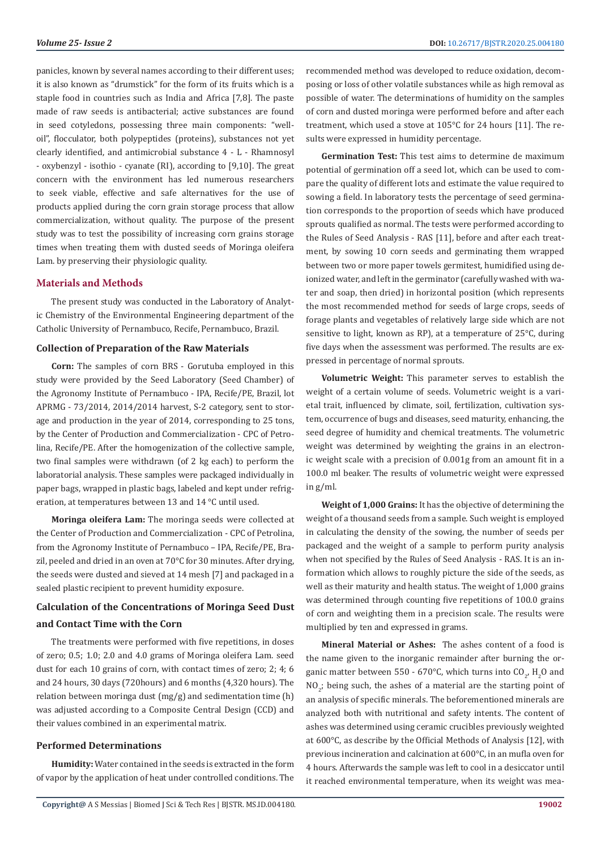panicles, known by several names according to their different uses; it is also known as "drumstick" for the form of its fruits which is a staple food in countries such as India and Africa [7,8]. The paste made of raw seeds is antibacterial; active substances are found in seed cotyledons, possessing three main components: "welloil", flocculator, both polypeptides (proteins), substances not yet clearly identified, and antimicrobial substance 4 - L - Rhamnosyl - oxybenzyl - isothio - cyanate (RI), according to [9,10]. The great concern with the environment has led numerous researchers to seek viable, effective and safe alternatives for the use of products applied during the corn grain storage process that allow commercialization, without quality. The purpose of the present study was to test the possibility of increasing corn grains storage times when treating them with dusted seeds of Moringa oleifera Lam. by preserving their physiologic quality.

# **Materials and Methods**

The present study was conducted in the Laboratory of Analytic Chemistry of the Environmental Engineering department of the Catholic University of Pernambuco, Recife, Pernambuco, Brazil.

### **Collection of Preparation of the Raw Materials**

**Corn:** The samples of corn BRS - Gorutuba employed in this study were provided by the Seed Laboratory (Seed Chamber) of the Agronomy Institute of Pernambuco - IPA, Recife/PE, Brazil, lot APRMG - 73/2014, 2014/2014 harvest, S-2 category, sent to storage and production in the year of 2014, corresponding to 25 tons, by the Center of Production and Commercialization - CPC of Petrolina, Recife/PE. After the homogenization of the collective sample, two final samples were withdrawn (of 2 kg each) to perform the laboratorial analysis. These samples were packaged individually in paper bags, wrapped in plastic bags, labeled and kept under refrigeration, at temperatures between 13 and 14 °C until used.

**Moringa oleifera Lam:** The moringa seeds were collected at the Center of Production and Commercialization - CPC of Petrolina, from the Agronomy Institute of Pernambuco – IPA, Recife/PE, Brazil, peeled and dried in an oven at 70°C for 30 minutes. After drying, the seeds were dusted and sieved at 14 mesh [7] and packaged in a sealed plastic recipient to prevent humidity exposure.

# **Calculation of the Concentrations of Moringa Seed Dust and Contact Time with the Corn**

The treatments were performed with five repetitions, in doses of zero; 0.5; 1.0; 2.0 and 4.0 grams of Moringa oleifera Lam. seed dust for each 10 grains of corn, with contact times of zero; 2; 4; 6 and 24 hours, 30 days (720hours) and 6 months (4,320 hours). The relation between moringa dust (mg/g) and sedimentation time (h) was adjusted according to a Composite Central Design (CCD) and their values combined in an experimental matrix.

# **Performed Determinations**

**Humidity:** Water contained in the seeds is extracted in the form of vapor by the application of heat under controlled conditions. The recommended method was developed to reduce oxidation, decomposing or loss of other volatile substances while as high removal as possible of water. The determinations of humidity on the samples of corn and dusted moringa were performed before and after each treatment, which used a stove at 105°C for 24 hours [11]. The results were expressed in humidity percentage.

**Germination Test:** This test aims to determine de maximum potential of germination off a seed lot, which can be used to compare the quality of different lots and estimate the value required to sowing a field. In laboratory tests the percentage of seed germination corresponds to the proportion of seeds which have produced sprouts qualified as normal. The tests were performed according to the Rules of Seed Analysis - RAS [11], before and after each treatment, by sowing 10 corn seeds and germinating them wrapped between two or more paper towels germitest, humidified using deionized water, and left in the germinator (carefully washed with water and soap, then dried) in horizontal position (which represents the most recommended method for seeds of large crops, seeds of forage plants and vegetables of relatively large side which are not sensitive to light, known as RP), at a temperature of 25°C, during five days when the assessment was performed. The results are expressed in percentage of normal sprouts.

**Volumetric Weight:** This parameter serves to establish the weight of a certain volume of seeds. Volumetric weight is a varietal trait, influenced by climate, soil, fertilization, cultivation system, occurrence of bugs and diseases, seed maturity, enhancing, the seed degree of humidity and chemical treatments. The volumetric weight was determined by weighting the grains in an electronic weight scale with a precision of 0.001g from an amount fit in a 100.0 ml beaker. The results of volumetric weight were expressed in g/ml.

**Weight of 1,000 Grains:** It has the objective of determining the weight of a thousand seeds from a sample. Such weight is employed in calculating the density of the sowing, the number of seeds per packaged and the weight of a sample to perform purity analysis when not specified by the Rules of Seed Analysis - RAS. It is an information which allows to roughly picture the side of the seeds, as well as their maturity and health status. The weight of 1,000 grains was determined through counting five repetitions of 100.0 grains of corn and weighting them in a precision scale. The results were multiplied by ten and expressed in grams.

**Mineral Material or Ashes:** The ashes content of a food is the name given to the inorganic remainder after burning the organic matter between 550 - 670°C, which turns into  $CO_{2'}$ , H<sub>2</sub>O and  $NO<sub>2</sub>$ ; being such, the ashes of a material are the starting point of an analysis of specific minerals. The beforementioned minerals are analyzed both with nutritional and safety intents. The content of ashes was determined using ceramic crucibles previously weighted at 600°C, as describe by the Official Methods of Analysis [12], with previous incineration and calcination at 600°C, in an mufla oven for 4 hours. Afterwards the sample was left to cool in a desiccator until it reached environmental temperature, when its weight was mea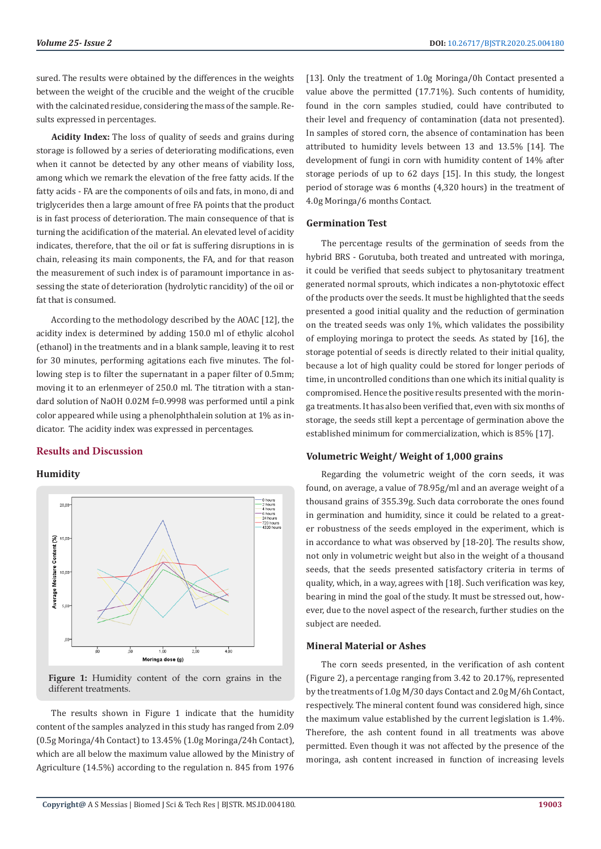sured. The results were obtained by the differences in the weights between the weight of the crucible and the weight of the crucible with the calcinated residue, considering the mass of the sample. Results expressed in percentages.

**Acidity Index:** The loss of quality of seeds and grains during storage is followed by a series of deteriorating modifications, even when it cannot be detected by any other means of viability loss, among which we remark the elevation of the free fatty acids. If the fatty acids - FA are the components of oils and fats, in mono, di and triglycerides then a large amount of free FA points that the product is in fast process of deterioration. The main consequence of that is turning the acidification of the material. An elevated level of acidity indicates, therefore, that the oil or fat is suffering disruptions in is chain, releasing its main components, the FA, and for that reason the measurement of such index is of paramount importance in assessing the state of deterioration (hydrolytic rancidity) of the oil or fat that is consumed.

According to the methodology described by the AOAC [12], the acidity index is determined by adding 150.0 ml of ethylic alcohol (ethanol) in the treatments and in a blank sample, leaving it to rest for 30 minutes, performing agitations each five minutes. The following step is to filter the supernatant in a paper filter of 0.5mm; moving it to an erlenmeyer of 250.0 ml. The titration with a standard solution of NaOH 0.02M f=0.9998 was performed until a pink color appeared while using a phenolphthalein solution at 1% as indicator. The acidity index was expressed in percentages.

# **Results and Discussion**

#### **Humidity**



**Figure 1:** Humidity content of the corn grains in the different treatments.

The results shown in Figure 1 indicate that the humidity content of the samples analyzed in this study has ranged from 2.09 (0.5g Moringa/4h Contact) to 13.45% (1.0g Moringa/24h Contact), which are all below the maximum value allowed by the Ministry of Agriculture (14.5%) according to the regulation n. 845 from 1976

[13]. Only the treatment of 1.0g Moringa/0h Contact presented a value above the permitted (17.71%). Such contents of humidity, found in the corn samples studied, could have contributed to their level and frequency of contamination (data not presented). In samples of stored corn, the absence of contamination has been attributed to humidity levels between 13 and 13.5% [14]. The development of fungi in corn with humidity content of 14% after storage periods of up to 62 days [15]. In this study, the longest period of storage was 6 months (4,320 hours) in the treatment of 4.0g Moringa/6 months Contact.

#### **Germination Test**

The percentage results of the germination of seeds from the hybrid BRS - Gorutuba, both treated and untreated with moringa, it could be verified that seeds subject to phytosanitary treatment generated normal sprouts, which indicates a non-phytotoxic effect of the products over the seeds. It must be highlighted that the seeds presented a good initial quality and the reduction of germination on the treated seeds was only 1%, which validates the possibility of employing moringa to protect the seeds. As stated by [16], the storage potential of seeds is directly related to their initial quality, because a lot of high quality could be stored for longer periods of time, in uncontrolled conditions than one which its initial quality is compromised. Hence the positive results presented with the moringa treatments. It has also been verified that, even with six months of storage, the seeds still kept a percentage of germination above the established minimum for commercialization, which is 85% [17].

# **Volumetric Weight/ Weight of 1,000 grains**

Regarding the volumetric weight of the corn seeds, it was found, on average, a value of 78.95g/ml and an average weight of a thousand grains of 355.39g. Such data corroborate the ones found in germination and humidity, since it could be related to a greater robustness of the seeds employed in the experiment, which is in accordance to what was observed by [18-20]. The results show, not only in volumetric weight but also in the weight of a thousand seeds, that the seeds presented satisfactory criteria in terms of quality, which, in a way, agrees with [18]. Such verification was key, bearing in mind the goal of the study. It must be stressed out, however, due to the novel aspect of the research, further studies on the subject are needed.

# **Mineral Material or Ashes**

The corn seeds presented, in the verification of ash content (Figure 2), a percentage ranging from 3.42 to 20.17%, represented by the treatments of 1.0g M/30 days Contact and 2.0g M/6h Contact, respectively. The mineral content found was considered high, since the maximum value established by the current legislation is 1.4%. Therefore, the ash content found in all treatments was above permitted. Even though it was not affected by the presence of the moringa, ash content increased in function of increasing levels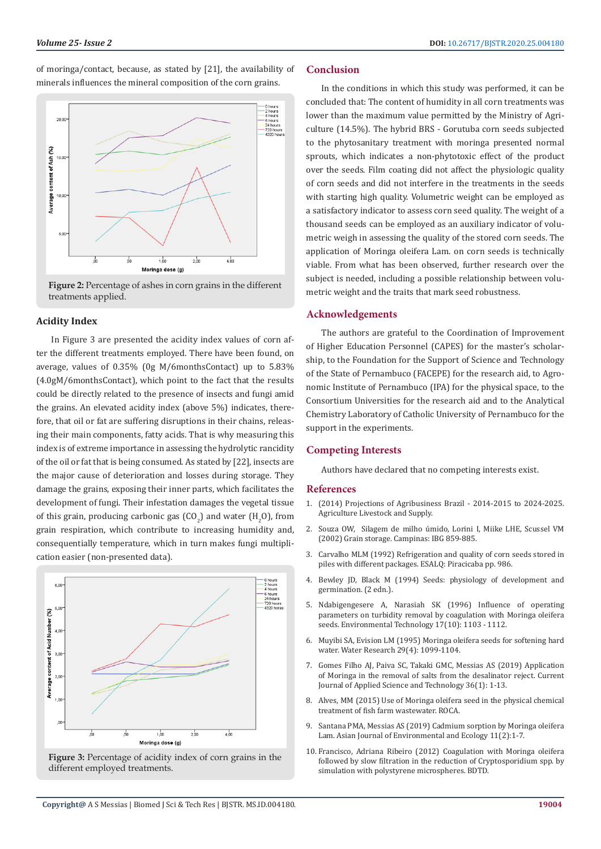of moringa/contact, because, as stated by [21], the availability of minerals influences the mineral composition of the corn grains.



**Figure 2:** Percentage of ashes in corn grains in the different treatments applied.

#### **Acidity Index**

In Figure 3 are presented the acidity index values of corn after the different treatments employed. There have been found, on average, values of 0.35% (0g M/6monthsContact) up to 5.83% (4.0gM/6monthsContact), which point to the fact that the results could be directly related to the presence of insects and fungi amid the grains. An elevated acidity index (above 5%) indicates, therefore, that oil or fat are suffering disruptions in their chains, releasing their main components, fatty acids. That is why measuring this index is of extreme importance in assessing the hydrolytic rancidity of the oil or fat that is being consumed. As stated by [22], insects are the major cause of deterioration and losses during storage. They damage the grains, exposing their inner parts, which facilitates the development of fungi. Their infestation damages the vegetal tissue of this grain, producing carbonic gas  $({\rm CO}_2)$  and water  $({\rm H}_2{\rm O})$ , from grain respiration, which contribute to increasing humidity and, consequentially temperature, which in turn makes fungi multiplication easier (non-presented data).



Figure 3: Percentage of acidity index of corn grains in the different employed treatments.

#### **Conclusion**

In the conditions in which this study was performed, it can be concluded that: The content of humidity in all corn treatments was lower than the maximum value permitted by the Ministry of Agriculture (14.5%). The hybrid BRS - Gorutuba corn seeds subjected to the phytosanitary treatment with moringa presented normal sprouts, which indicates a non-phytotoxic effect of the product over the seeds. Film coating did not affect the physiologic quality of corn seeds and did not interfere in the treatments in the seeds with starting high quality. Volumetric weight can be employed as a satisfactory indicator to assess corn seed quality. The weight of a thousand seeds can be employed as an auxiliary indicator of volumetric weigh in assessing the quality of the stored corn seeds. The application of Moringa oleifera Lam. on corn seeds is technically viable. From what has been observed, further research over the subject is needed, including a possible relationship between volumetric weight and the traits that mark seed robustness.

### **Acknowledgements**

The authors are grateful to the Coordination of Improvement of Higher Education Personnel (CAPES) for the master's scholarship, to the Foundation for the Support of Science and Technology of the State of Pernambuco (FACEPE) for the research aid, to Agronomic Institute of Pernambuco (IPA) for the physical space, to the Consortium Universities for the research aid and to the Analytical Chemistry Laboratory of Catholic University of Pernambuco for the support in the experiments.

#### **Competing Interests**

Authors have declared that no competing interests exist.

#### **References**

- 1. [\(2014\) Projections of Agribusiness Brazil 2014-2015 to 2024-2025.](http://www.agricultura.gov.br/assuntos/politica-agricola/todas-publicacoes-de-politica-agricola/projecoes-do-agronegocio/projecoes-do-agronegocio-brasil-2014-2015-a-2024-2025.pdf/view) [Agriculture Livestock and Supply.](http://www.agricultura.gov.br/assuntos/politica-agricola/todas-publicacoes-de-politica-agricola/projecoes-do-agronegocio/projecoes-do-agronegocio-brasil-2014-2015-a-2024-2025.pdf/view)
- 2. [Souza OW, Silagem de milho úmido, Lorini I, Miike LHE, Scussel VM](https://pesquisa.bvsalud.org/portal/resource/pt/ses-17745) [\(2002\) Grain storage. Campinas: IBG 859-885.](https://pesquisa.bvsalud.org/portal/resource/pt/ses-17745)
- 3. [Carvalho MLM \(1992\) Refrigeration and quality of corn seeds stored in](https://teses.usp.br/teses/disponiveis/11/11136/tde-20200111-133703/pt-br.php) [piles with different packages. ESALQ: Piracicaba pp. 986.](https://teses.usp.br/teses/disponiveis/11/11136/tde-20200111-133703/pt-br.php)
- 4. [Bewley JD, Black M \(1994\) Seeds: physiology of development and](https://www.springer.com/gp/book/9781461357032) [germination. \(2 edn.\).](https://www.springer.com/gp/book/9781461357032)
- 5. [Ndabigengesere A, Narasiah SK \(1996\) Influence of operating](https://www.tandfonline.com/doi/abs/10.1080/09593331708616479) [parameters on turbidity removal by coagulation with Moringa oleifera](https://www.tandfonline.com/doi/abs/10.1080/09593331708616479) [seeds. Environmental Technology 17\(10\): 1103 - 1112.](https://www.tandfonline.com/doi/abs/10.1080/09593331708616479)
- 6. [Muyibi SA, Evision LM \(1995\) Moringa oleifera seeds for softening hard](https://www.sciencedirect.com/science/article/abs/pii/004313549400250B) [water. Water Research 29\(4\): 1099-1104.](https://www.sciencedirect.com/science/article/abs/pii/004313549400250B)
- 7. [Gomes Filho AJ, Paiva SC, Takaki GMC, Messias AS \(2019\) Application](http://www.journalcjast.com/index.php/CJAST/article/view/30212) [of Moringa in the removal of salts from the desalinator reject. Current](http://www.journalcjast.com/index.php/CJAST/article/view/30212) [Journal of Applied Science and Technology 36\(1\): 1-13.](http://www.journalcjast.com/index.php/CJAST/article/view/30212)
- 8. [Alves, MM \(2015\) Use of Moringa oleifera seed in the physical chemical](http://repositorio.roca.utfpr.edu.br/jspui/handle/1/5325) [treatment of fish farm wastewater. ROCA.](http://repositorio.roca.utfpr.edu.br/jspui/handle/1/5325)
- 9. [Santana PMA, Messias AS \(2019\) Cadmium sorption by Moringa oleifera](http://www.journalajee.com/index.php/AJEE/article/view/30135) [Lam. Asian Journal of Environmental and Ecology 11\(2\):1-7.](http://www.journalajee.com/index.php/AJEE/article/view/30135)
- 10. [Francisco, Adriana Ribeiro \(2012\) Coagulation with Moringa oleifera](http://bdtd.ibict.br/vufind/Record/CAMP_627c804534b27f81caae8a6778e08ac1) [followed by slow filtration in the reduction of Cryptosporidium spp. by](http://bdtd.ibict.br/vufind/Record/CAMP_627c804534b27f81caae8a6778e08ac1) [simulation with polystyrene microspheres. BDTD.](http://bdtd.ibict.br/vufind/Record/CAMP_627c804534b27f81caae8a6778e08ac1)